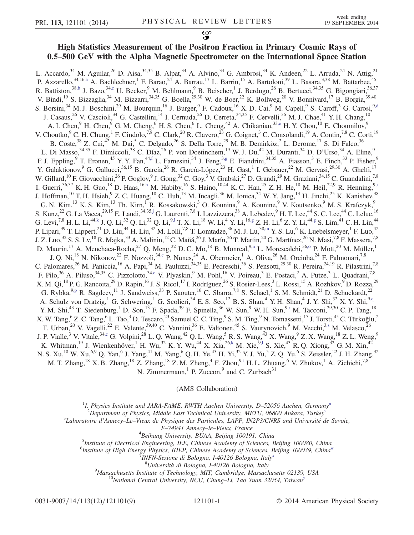## 0.5–500 GeV with the Alpha Magnetic Spectrometer on the International Space Station

<span id="page-0-10"></span><span id="page-0-8"></span><span id="page-0-7"></span><span id="page-0-6"></span><span id="page-0-5"></span><span id="page-0-4"></span><span id="page-0-3"></span><span id="page-0-1"></span><span id="page-0-0"></span>L. Accardo,<sup>34</sup> M. Aguilar,<sup>26</sup> D. Aisa,<sup>34,35</sup> B. Alpat,<sup>34</sup> A. Alvino,<sup>34</sup> G. Ambrosi,<sup>34</sup> K. Andeen,<sup>22</sup> L. Arruda,<sup>24</sup> N. Attig,<sup>21</sup> P. Azzarello,  $34,16, a$  A. Bachlechner, <sup>1</sup> F. Barao,  $24$  A. Barrau,  $17$  L. Barrin,  $15$  A. Bartoloni,  $39$  L. Basara,  $3,38$  M. Battarbee,  $45$ R. Battiston,<sup>3[8,b](#page-7-1)</sup> J. Bazo,<sup>34[,c](#page-7-2)</sup> U. Becker,<sup>9</sup> M. Behlmann,<sup>9</sup> B. Beischer,<sup>1</sup> J. Berdugo,<sup>26</sup> B. Bertucci,<sup>34,35</sup> G. Bigongiari,<sup>36,37</sup> V. Bindi, <sup>19</sup> S. Bizzaglia, <sup>34</sup> M. Bizzarri, <sup>34,35</sup> G. Boella, <sup>29,30</sup> W. de Boer, <sup>22</sup> K. Bollweg, <sup>20</sup> V. Bonnivard, <sup>17</sup> B. Borgia, <sup>39,40</sup> S. Borsini,<sup>34</sup> M. J. Boschini,<sup>29</sup> M. Bourquin,<sup>16</sup> J. Burger,<sup>9</sup> F. Cadoux,<sup>16</sup> X. D. Cai,<sup>9</sup> M. Capell,<sup>9</sup> S. Caroff,<sup>3</sup> G. Carosi,<sup>9[,d](#page-7-3)</sup> J. Casaus,<sup>26</sup> V. Cascioli,<sup>34</sup> G. Castellini,<sup>14</sup> I. Cernuda,<sup>26</sup> D. Cerreta,<sup>34,35</sup> F. Cervelli,<sup>36</sup> M. J. Chae,<sup>41</sup> Y. H. Chang,<sup>10</sup> A. I. Chen, <sup>9</sup> H. Chen, <sup>9</sup> G. M. Cheng, <sup>6</sup> H. S. Chen, <sup>6</sup> L. Cheng, <sup>42</sup> A. Chikanian,  $33,$ e H. Y. Chou,  $10$  E. Choumilov,  $9$ V. Choutko,  $^9$  C. H. Chung,  $^1$  F. Cindolo,  $^{7,8}$  C. Clark,  $^{20}$  R. Clavero,  $^{23}$  G. Coignet,  $^3$  C. Consolandi,  $^{19}$  A. Contin,  $^{7,8}$  C. Corti,  $^{19}$ B. Coste,<sup>38</sup> Z. Cui,<sup>42</sup> M. Dai,<sup>5</sup> C. Delgado,<sup>26</sup> S. Della Torre,<sup>29</sup> M. B. Demirköz,<sup>2</sup> L. Derome,<sup>17</sup> S. Di Falco,<sup>36</sup> L. Di Masso,  $34,35$  F. Dimiccoli,  $38$  C. Díaz,  $26$  P. von Doetinchem,  $19$  W. J. Du,  $42$  M. Duranti,  $34$  D. D'Urso,  $34$  A. Eline,  $9$ F. J. Eppling,<sup>9</sup> T. Eronen,<sup>45</sup> Y. Y. Fan,<sup>44[,f](#page-7-5)</sup> L. Farnesini,<sup>34</sup> J. Feng,<sup>[3,g](#page-7-6)</sup> E. Fiandrini,<sup>34,35</sup> A. Fiasson,<sup>3</sup> E. Finch,<sup>33</sup> P. Fisher,<sup>9</sup> Y. Galaktionov, <sup>9</sup> G. Gallucci, <sup>36,15</sup> B. García, <sup>26</sup> R. García-López, <sup>23</sup> H. Gast, <sup>1</sup> I. Gebauer, <sup>22</sup> M. Gervasi, <sup>29,30</sup> A. Ghelfi, <sup>17</sup> W. Gillard, <sup>10</sup> F. Giovacchini, <sup>26</sup> P. Goglov, <sup>9</sup> J. Gong, <sup>32</sup> C. Goy, <sup>3</sup> V. Grabski, <sup>27</sup> D. Grandi, <sup>29</sup> M. Graziani, <sup>34,15</sup> C. Guandalini, <sup>7,8</sup> I. Guerri,  $36,37$  K. H. Guo,  $^{18}$  D. Haas,  $^{16,h}$  $^{16,h}$  $^{16,h}$  M. Habiby,  $^{16}$  S. Haino,  $^{10,44}$  K. C. Han,  $^{25}$  Z. H. He,  $^{18}$  M. Heil,  $^{22,9}$  R. Henning,  $^{9,1}$ J. Hoffman,<sup>10</sup> T. H. Hsieh,<sup>9</sup> Z. C. Huang,<sup>18</sup> C. Huh,<sup>13</sup> M. Incagli,<sup>36</sup> M. Ionica,<sup>34</sup> W. Y. Jang,<sup>13</sup> H. Jinchi,<sup>25</sup> K. Kanishev,<sup>38</sup> G. N. Kim,<sup>13</sup> K. S. Kim,<sup>13</sup> Th. Kirn,<sup>1</sup> R. Kossakowski,<sup>3</sup> O. Kounina,<sup>9</sup> A. Kounine,<sup>9</sup> V. Koutsenko,<sup>9</sup> M. S. Krafczyk,<sup>9</sup> S. Kunz,<sup>22</sup> G. La Vacca,<sup>29,15</sup> E. Laudi,<sup>34,35[,j](#page-7-9)</sup> G. Laurenti,<sup>7,8</sup> I. Lazzizzera,<sup>38</sup> A. Lebedev,<sup>9</sup> H. T. Lee,<sup>44</sup> S. C. Lee,<sup>44</sup> C. Leluc,<sup>16</sup> G. Levi, $^{7,8}$  H. L. Li, $^{44,\rm k}$  J. Q. Li, $^{32}$  Q. Li, $^{32}$  Q. Li, $^{9,1}$  T. X. Li, $^{18}$  W. Li, $^{4}$  Y. Li, $^{16, \rm g}$  Z. H. Li, $^{6}$  Z. Y. Li, $^{44, \rm g}$  S. Lim, $^{44}$  C. H. Lin, $^{44}$ P. Lipari, $^{39}$  T. Lippert, $^{21}$  D. Liu, $^{44}$  H. Liu, $^{32}$  M. Lolli, $^{7,8}$  T. Lomtadze, $^{36}$  M. J. Lu, $^{38,m}$  $^{38,m}$  $^{38,m}$  Y. S. Lu, $^6$  K. Luebelsmeyer, $^1$  F. Luo, $^{42}$ J. Z. Luo,<sup>32</sup> S. S. Lv,<sup>18</sup> R. Majka,<sup>33</sup> A. Malinin,<sup>12</sup> C. Mañá,<sup>26</sup> J. Marín,<sup>26</sup> T. Martin,<sup>20</sup> G. Martínez,<sup>26</sup> N. Masi,<sup>7,8</sup> F. Massera,<sup>7,8</sup> D. Maurin,<sup>17</sup> A. Menchaca-Rocha,<sup>27</sup> Q. Meng,<sup>32</sup> D. C. Mo,<sup>18</sup> B. Monreal,<sup>9[,n](#page-7-13)</sup> L. Morescalchi,<sup>36,0</sup> P. Mott,<sup>20</sup> M. Müller,<sup>1</sup> J. Q. Ni,<sup>18</sup> N. Nikonov,<sup>22</sup> F. Nozzoli,<sup>3[4,c](#page-7-2)</sup> P. Nunes,<sup>24</sup> A. Obermeier,<sup>1</sup> A. Oliva,<sup>26</sup> M. Orcinha,<sup>24</sup> F. Palmonari,<sup>7,8</sup> C. Palomares,<sup>26</sup> M. Paniccia,<sup>16</sup> A. Papi,<sup>34</sup> M. Pauluzzi,<sup>34,35</sup> E. Pedreschi,<sup>36</sup> S. Pensotti,<sup>29,30</sup> R. Pereira,<sup>24,19</sup> R. Pilastrini,<sup>7,8</sup> F. Pilo,<sup>36</sup> A. Piluso,<sup>34,35</sup> C. Pizzolotto,<sup>34[,c](#page-7-2)</sup> V. Plyaskin,<sup>9</sup> M. Pohl,<sup>16</sup> V. Poireau,<sup>3</sup> E. Postaci,<sup>2</sup> A. Putze,<sup>3</sup> L. Quadrani,<sup>7,8</sup> X. M. Qi,<sup>18</sup> P. G. Rancoita,<sup>29</sup> D. Rapin,<sup>16</sup> J. S. Ricol,<sup>17</sup> I. Rodríguez,<sup>26</sup> S. Rosier-Lees,<sup>3</sup> L. Rossi,<sup>15</sup> A. Rozhkov,<sup>9</sup> D. Rozza,<sup>29</sup> G. Rybka,  $9.9$  R. Sagdeev,  $^{11}$  J. Sandweiss,  $^{33}$  P. Saouter,  $^{16}$  C. Sbarra,  $^{7.8}$  S. Schael,  $^{1}$  S. M. Schmidt,  $^{21}$  D. Schuckardt,  $^{22}$ A. Schulz von Dratzig,<sup>1</sup> G. Schwering,<sup>1</sup> G. Scolieri,<sup>34</sup> E. S. Seo,<sup>12</sup> B. S. Shan,<sup>4</sup> Y. H. Shan,<sup>4</sup> J. Y. Shi,<sup>32</sup> X. Y. Shi,<sup>9[,q](#page-7-16)</sup> Y. M. Shi,<sup>43</sup> T. Siedenburg,<sup>1</sup> D. Son,<sup>13</sup> F. Spada,<sup>39</sup> F. Spinella,<sup>36</sup> W. Sun,<sup>9</sup> W. H. Sun,<sup>[9,r](#page-7-17)</sup> M. Tacconi,<sup>29,30</sup> C. P. Tang,<sup>18</sup> X. W. Tang,  $^6$  Z. C. Tang,  $^6$  L. Tao,  $^3$  D. Tescaro,  $^{23}$  Samuel C. C. Ting,  $^9$  S. M. Ting,  $^9$  N. Tomassetti,  $^{17}$  J. Torsti,  $^{45}$  C. Türkoğlu,  $^2$ T. Urban,<sup>20</sup> V. Vagelli,<sup>22</sup> E. Valente,<sup>39,40</sup> C. Vannini,<sup>36</sup> E. Valtonen,<sup>45</sup> S. Vaurynovich,<sup>9</sup> M. Vecchi,<sup>3[,s](#page-7-18)</sup> M. Velasco,<sup>26</sup> J. P. Vialle,<sup>3</sup> V. Vitale,<sup>34[,c](#page-7-2)</sup> G. Volpini,<sup>28</sup> L. Q. Wang,<sup>42</sup> Q. L. Wang,<sup>5</sup> R. S. Wang,<sup>43</sup> X. Wang,<sup>9</sup> Z. X. Wang,<sup>18</sup> Z. L. Weng,<sup>9</sup> K. Whitman,<sup>19</sup> J. Wienkenhöver,<sup>1</sup> H. Wu,<sup>32</sup> K. Y. Wu,<sup>44</sup> X. Xia,<sup>2[6,k](#page-7-10)</sup> M. Xie,<sup>9,1</sup> S. Xie,<sup>43</sup> R. Q. Xiong,<sup>32</sup> G. M. Xin,<sup>42</sup> N. S. Xu,<sup>18</sup> W. Xu,<sup>6,9</sup> Q. Yan,<sup>6</sup> J. Yang,<sup>41</sup> M. Yang,<sup>6</sup> Q. H. Ye,<sup>43</sup> H. Yi,<sup>32</sup> Y. J. Yu,<sup>5</sup> Z. Q. Yu,<sup>6</sup> S. Zeissler,<sup>22</sup> J. H. Zhang,<sup>32</sup> M. T. Zhang,<sup>18</sup> X. B. Zhang,<sup>18</sup> Z. Zhang,<sup>18</sup> Z. M. Zheng,<sup>4</sup> F. Zhou,<sup>[9,t](#page-7-19)</sup> H. L. Zhuang,<sup>6</sup> V. Zhukov,<sup>1</sup> A. Zichichi,<sup>7,8</sup> N. Zimmermann,<sup>1</sup> P. Zuccon,<sup>9</sup> and C. Zurbach<sup>31</sup>

## (AMS Collaboration)

<span id="page-0-16"></span><span id="page-0-15"></span><span id="page-0-14"></span><span id="page-0-13"></span><span id="page-0-12"></span><span id="page-0-11"></span><span id="page-0-9"></span><span id="page-0-2"></span><s[u](#page-7-20)p>1</sup>I. Physics Institute and JARA-FAME, RWTH Aachen University, D-52056 Aachen, Germany<sup>u</sup>

<sup>2</sup>Department of Physics, Middle East Technical Uni[v](#page-7-21)ersity, METU, 06800 Ankara, Turkey<sup>v</sup>

<span id="page-0-19"></span><span id="page-0-18"></span><span id="page-0-17"></span> ${}^{3}$ Laboratoire d'Annecy–Le–Vieux de Physique des Particules, LAPP, IN2P3/CNRS and Université de Savoie,

<sup>F</sup>–74941 Annecy–le–Vieux, France <sup>4</sup>

<sup>4</sup>Beihang University, BUAA, Beijing 100191, China

 $<sup>5</sup>$ Institute of Electrical Engineering, IEE, Chinese Academy of Sciences, Beijing 100080, China</sup>

<span id="page-0-20"></span><sup>6</sup>Institute of High Energy Physics, IHEP, Chinese Academy of Sciences, Beijing 100039, China<sup>w</sup>

 $\tilde{V}$ INFN-Sezione di Bologna, I-40126 Bologna, Italy<sup>[x](#page-7-23)</sup>

<sup>8</sup>Università di Bologna, I-40126 Bologna, Italy

 $^{9}$ Massachusetts Institute of Technology, MIT, Cambridge, Massachusetts 02139, USA

 $^{10}$ National Central Universit[y](#page-7-24), NCU, Chung–Li, Tao Yuan 32054, Taiwan<sup>y</sup>

<span id="page-0-21"></span>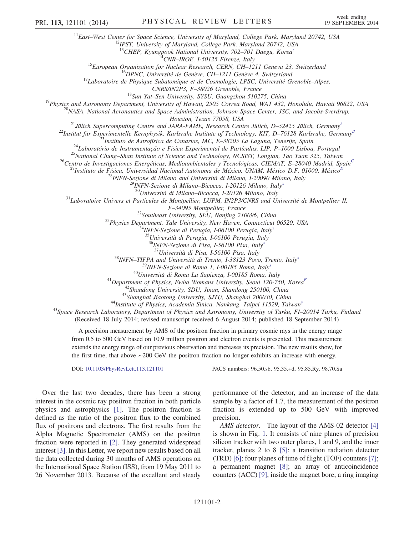<span id="page-1-0"></span><sup>11</sup>East–West Center for Space Science, University of Maryland, College Park, Maryland 20742, USA <sup>12</sup>IPST, University of Maryland, College Park, Maryland 20742, USA

<sup>13</sup>CHEP, Kyungpook National University, 702-701 Daegu, Korea<sup>[z](#page-7-25)</sup><br><sup>14</sup>CNR-IROE, I-50125 Firenze, Italy

<sup>15</sup>European Organization for Nuclear Research, CERN, CH-1211 Geneva 23, Switzerland<br><sup>16</sup>DPNC, Université de Genève, CH-1211 Genève 4, Switzerland<br><sup>17</sup>Laboratoire de Physique Subatomique et de Cosmologie, LPSC, Université

CNRS/IN2P3, F-38026 Grenoble, France<br><sup>18</sup>Sun Yat-Sen University, SYSU, Guangzhou 510275, China<br><sup>19</sup>Physics and Astronomy Department, University of Hawaii, 2505 Correa Road, WAT 432, Honolulu, Hawaii 96822, USA<br><sup>20</sup>NASA, Na

Houston, Texas 77058, US[A](#page-7-26)<br><sup>21</sup>Jülich Supercomputing Centre and JARA-FAME, Research Centre Jülich, D–52425 Jülich, Germany<sup>A</sup>

<span id="page-1-2"></span><span id="page-1-1"></span><sup>22</sup>Institut für Experimentelle Kernphysik, Karlsruhe Institute of Technology, KIT, D–76128 Karlsruhe, Germany<sup>[B](#page-7-27)</sup><br><sup>23</sup>Instituto de Astrofísica de Canarias, IAC, E–38205 La Laguna, Tenerife, Spain

<sup>24</sup>Laboratório de Instrumentação e Física Experimental de Partículas, LIP, P-1000 Lisboa, Portugal<br><sup>25</sup>National [C](#page-7-28)hung-Shan Institute of Science and Technology, NCSIST, Longtan, Tao Yuan 325, Taiwan<br><sup>26</sup>Centro de Investig

<span id="page-1-4"></span><span id="page-1-3"></span>

<sup>27</sup>Instituto de Física, Universidad Nacional Autónoma de México, UNAM, México [D](#page-7-29).F. 01000, México<sup>1</sup>

<sup>28</sup>INFN-Sezione di Milano and Università di Milano, I-20090 Milano, Italy<br><sup>29</sup>INFN-Sezione di Milano–Bicocca, I-20126 Milano, Italy<sup>[x](#page-7-23) 30</sup>Università di Milano–Bicocca, I-20126 Milano, Italy

 $^{31}$ Laboratoire Univers et Particules de Montpellier, LUPM, IN2P3/CNRS and Université de Montpellier II,

F-34095 Montpellier, France<br><sup>32</sup>Southeast University, SEU, Nanjing 210096, China<br><sup>33</sup>Physics Department, Yale University, New Haven, Connecticut 06520, USA<br><sup>34</sup>INFN-Sezione di Perugia, I-06100 Perugia, Italy<sup>[x](#page-7-23)</sup>

<sup>35</sup>Università di Perugia, I-06100 Perugia, Italy

<sup>36</sup>INFN-Sezione di Pisa, I-56100 Pisa, Italy<sup>[x](#page-7-23)</sup><br><sup>37</sup>Università di Pisa, I-56100 Pisa, Italy

 $38$ INFN–TIFPA and Università di Trento, I-38123 Povo, Trento, Italy[x](#page-7-23)

<sup>39</sup>INFN-Sezione di Roma 1, I-00185 Roma, Italy<sup>[x](#page-7-23)</sup><br><sup>40</sup>Università di Roma La Sapienza, I-00185 Roma, Italy

<sup>41</sup>Department of Physics, [E](#page-7-30)wha Womans University, Seoul 120-750, Korea<sup>E</sup><br><sup>42</sup>Shandong University, SDU, Jinan, Shandong 250100, China

<sup>43</sup>Shanghai Jiaotong Universit[y](#page-7-24), SJTU, Shanghai 200030, China  $44$ Institute of Physics, Academia Sinica, Nankang, Taipei 11529, Taiwan<sup>y</sup>

<span id="page-1-5"></span><sup>45</sup>Space Research Laboratory, Department of Physics and Astronomy, University of Turku, FI-20014 Turku, Finland (Received 18 July 2014; revised manuscript received 6 August 2014; published 18 September 2014)

A precision measurement by AMS of the positron fraction in primary cosmic rays in the energy range from 0.5 to 500 GeV based on 10.9 million positron and electron events is presented. This measurement

extends the energy range of our previous observation and increases its precision. The new results show, for the first time, that above ∼200 GeV the positron fraction no longer exhibits an increase with energy.

DOI: [10.1103/PhysRevLett.113.121101](http://dx.doi.org/10.1103/PhysRevLett.113.121101) PACS numbers: 96.50.sb, 95.35.+d, 95.85.Ry, 98.70.Sa

Over the last two decades, there has been a strong interest in the cosmic ray positron fraction in both particle physics and astrophysics [\[1\]](#page-7-31). The positron fraction is defined as the ratio of the positron flux to the combined flux of positrons and electrons. The first results from the Alpha Magnetic Spectrometer (AMS) on the positron fraction were reported in [\[2\]](#page-7-32). They generated widespread interest [\[3\].](#page-7-33) In this Letter, we report new results based on all the data collected during 30 months of AMS operations on the International Space Station (ISS), from 19 May 2011 to 26 November 2013. Because of the excellent and steady performance of the detector, and an increase of the data sample by a factor of 1.7, the measurement of the positron fraction is extended up to 500 GeV with improved precision.

AMS detector.—The layout of the AMS-02 detector [\[4\]](#page-7-34) is shown in Fig. [1](#page-2-0). It consists of nine planes of precision silicon tracker with two outer planes, 1 and 9, and the inner tracker, planes 2 to 8 [\[5\]](#page-8-0); a transition radiation detector (TRD) [\[6\]](#page-8-1); four planes of time of flight (TOF) counters [\[7\]](#page-8-2); a permanent magnet [\[8\];](#page-8-3) an array of anticoincidence counters (ACC) [\[9\]](#page-8-4), inside the magnet bore; a ring imaging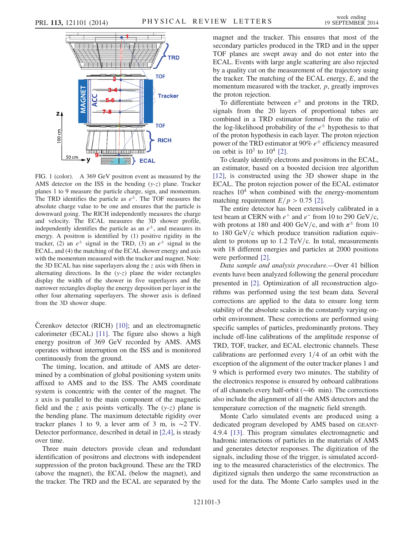<span id="page-2-0"></span>

FIG. 1 (color). A 369 GeV positron event as measured by the AMS detector on the ISS in the bending  $(y-z)$  plane. Tracker planes 1 to 9 measure the particle charge, sign, and momentum. The TRD identifies the particle as  $e^{\pm}$ . The TOF measures the absolute charge value to be one and ensures that the particle is downward going. The RICH independently measures the charge and velocity. The ECAL measures the 3D shower profile, independently identifies the particle as an  $e^{\pm}$ , and measures its energy. A positron is identified by (1) positive rigidity in the tracker, (2) an  $e^{\pm}$  signal in the TRD, (3) an  $e^{\pm}$  signal in the ECAL, and (4) the matching of the ECAL shower energy and axis with the momentum measured with the tracker and magnet. Note: the 3D ECAL has nine superlayers along the  $z$  axis with fibers in alternating directions. In the  $(y-z)$  plane the wider rectangles display the width of the shower in five superlayers and the narrower rectangles display the energy deposition per layer in the other four alternating superlayers. The shower axis is defined from the 3D shower shape.

Čerenkov detector (RICH) [\[10\];](#page-8-5) and an electromagnetic calorimeter (ECAL) [\[11\].](#page-8-6) The figure also shows a high energy positron of 369 GeV recorded by AMS. AMS operates without interruption on the ISS and is monitored continuously from the ground.

The timing, location, and attitude of AMS are determined by a combination of global positioning system units affixed to AMS and to the ISS. The AMS coordinate system is concentric with the center of the magnet. The  $x$  axis is parallel to the main component of the magnetic field and the z axis points vertically. The  $(y-z)$  plane is the bending plane. The maximum detectable rigidity over tracker planes 1 to 9, a lever arm of 3 m, is ∼2 TV. Detector performance, described in detail in [\[2,4\]](#page-7-32), is steady over time.

Three main detectors provide clean and redundant identification of positrons and electrons with independent suppression of the proton background. These are the TRD (above the magnet), the ECAL (below the magnet), and the tracker. The TRD and the ECAL are separated by the

magnet and the tracker. This ensures that most of the secondary particles produced in the TRD and in the upper TOF planes are swept away and do not enter into the ECAL. Events with large angle scattering are also rejected by a quality cut on the measurement of the trajectory using the tracker. The matching of the ECAL energy,  $E$ , and the momentum measured with the tracker, p, greatly improves the proton rejection.

To differentiate between  $e^{\pm}$  and protons in the TRD, signals from the 20 layers of proportional tubes are combined in a TRD estimator formed from the ratio of the log-likelihood probability of the  $e^{\pm}$  hypothesis to that of the proton hypothesis in each layer. The proton rejection power of the TRD estimator at 90%  $e^{\pm}$  efficiency measured on orbit is  $10^3$  to  $10^4$  [\[2\]](#page-7-32).

To cleanly identify electrons and positrons in the ECAL, an estimator, based on a boosted decision tree algorithm [\[12\]](#page-8-7), is constructed using the 3D shower shape in the ECAL. The proton rejection power of the ECAL estimator reaches  $10<sup>4</sup>$  when combined with the energy-momentum matching requirement  $E/p > 0.75$  [\[2\]](#page-7-32).

The entire detector has been extensively calibrated in a test beam at CERN with  $e^+$  and  $e^-$  from 10 to 290 GeV/c, with protons at 180 and 400 GeV/c, and with  $\pi^{\pm}$  from 10 to  $180 \text{ GeV/c}$  which produce transition radiation equivalent to protons up to  $1.2$  TeV/c. In total, measurements with 18 different energies and particles at 2000 positions were performed [\[2\].](#page-7-32)

Data sample and analysis procedure.—Over 41 billion events have been analyzed following the general procedure presented in [\[2\].](#page-7-32) Optimization of all reconstruction algorithms was performed using the test beam data. Several corrections are applied to the data to ensure long term stability of the absolute scales in the constantly varying onorbit environment. These corrections are performed using specific samples of particles, predominantly protons. They include off-line calibrations of the amplitude response of TRD, TOF, tracker, and ECAL electronic channels. These calibrations are performed every  $1/4$  of an orbit with the exception of the alignment of the outer tracker planes 1 and 9 which is performed every two minutes. The stability of the electronics response is ensured by onboard calibrations of all channels every half-orbit (∼46 min). The corrections also include the alignment of all the AMS detectors and the temperature correction of the magnetic field strength.

Monte Carlo simulated events are produced using a dedicated program developed by AMS based on GEANT-4.9.4 [\[13\]](#page-8-8). This program simulates electromagnetic and hadronic interactions of particles in the materials of AMS and generates detector responses. The digitization of the signals, including those of the trigger, is simulated according to the measured characteristics of the electronics. The digitized signals then undergo the same reconstruction as used for the data. The Monte Carlo samples used in the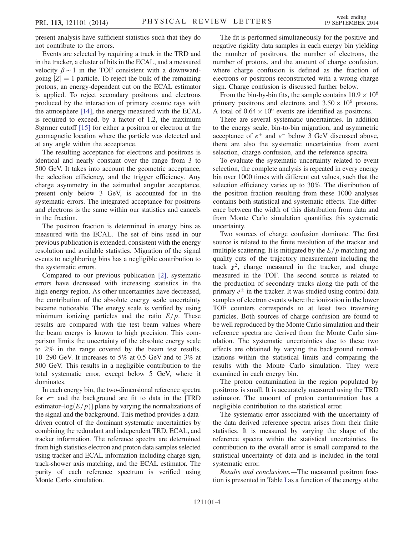present analysis have sufficient statistics such that they do not contribute to the errors.

Events are selected by requiring a track in the TRD and in the tracker, a cluster of hits in the ECAL, and a measured velocity  $\beta \sim 1$  in the TOF consistent with a downwardgoing  $|Z| = 1$  particle. To reject the bulk of the remaining protons, an energy-dependent cut on the ECAL estimator is applied. To reject secondary positrons and electrons produced by the interaction of primary cosmic rays with the atmosphere [\[14\]](#page-8-9), the energy measured with the ECAL is required to exceed, by a factor of 1.2, the maximum Størmer cutoff [\[15\]](#page-8-10) for either a positron or electron at the geomagnetic location where the particle was detected and at any angle within the acceptance.

The resulting acceptance for electrons and positrons is identical and nearly constant over the range from 3 to 500 GeV. It takes into account the geometric acceptance, the selection efficiency, and the trigger efficiency. Any charge asymmetry in the azimuthal angular acceptance, present only below 3 GeV, is accounted for in the systematic errors. The integrated acceptance for positrons and electrons is the same within our statistics and cancels in the fraction.

The positron fraction is determined in energy bins as measured with the ECAL. The set of bins used in our previous publication is extended, consistent with the energy resolution and available statistics. Migration of the signal events to neighboring bins has a negligible contribution to the systematic errors.

Compared to our previous publication [\[2\],](#page-7-32) systematic errors have decreased with increasing statistics in the high energy region. As other uncertainties have decreased, the contribution of the absolute energy scale uncertainty became noticeable. The energy scale is verified by using minimum ionizing particles and the ratio  $E/p$ . These results are compared with the test beam values where the beam energy is known to high precision. This comparison limits the uncertainty of the absolute energy scale to 2% in the range covered by the beam test results, 10–290 GeV. It increases to 5% at 0.5 GeV and to 3% at 500 GeV. This results in a negligible contribution to the total systematic error, except below 5 GeV, where it dominates.

In each energy bin, the two-dimensional reference spectra for  $e^{\pm}$  and the background are fit to data in the [TRD estimator–log $(E/p)$ ] plane by varying the normalizations of the signal and the background. This method provides a datadriven control of the dominant systematic uncertainties by combining the redundant and independent TRD, ECAL, and tracker information. The reference spectra are determined from high statistics electron and proton data samples selected using tracker and ECAL information including charge sign, track-shower axis matching, and the ECAL estimator. The purity of each reference spectrum is verified using Monte Carlo simulation.

The fit is performed simultaneously for the positive and negative rigidity data samples in each energy bin yielding the number of positrons, the number of electrons, the number of protons, and the amount of charge confusion, where charge confusion is defined as the fraction of electrons or positrons reconstructed with a wrong charge sign. Charge confusion is discussed further below.

From the bin-by-bin fits, the sample contains  $10.9 \times 10^6$ primary positrons and electrons and  $3.50 \times 10^6$  protons. A total of  $0.64 \times 10^6$  events are identified as positrons.

There are several systematic uncertainties. In addition to the energy scale, bin-to-bin migration, and asymmetric acceptance of  $e^+$  and  $e^-$  below 3 GeV discussed above, there are also the systematic uncertainties from event selection, charge confusion, and the reference spectra.

To evaluate the systematic uncertainty related to event selection, the complete analysis is repeated in every energy bin over 1000 times with different cut values, such that the selection efficiency varies up to 30%. The distribution of the positron fraction resulting from these 1000 analyses contains both statistical and systematic effects. The difference between the width of this distribution from data and from Monte Carlo simulation quantifies this systematic uncertainty.

Two sources of charge confusion dominate. The first source is related to the finite resolution of the tracker and multiple scattering. It is mitigated by the  $E/p$  matching and quality cuts of the trajectory measurement including the track  $\chi^2$ , charge measured in the tracker, and charge measured in the TOF. The second source is related to the production of secondary tracks along the path of the primary  $e^{\pm}$  in the tracker. It was studied using control data samples of electron events where the ionization in the lower TOF counters corresponds to at least two traversing particles. Both sources of charge confusion are found to be well reproduced by the Monte Carlo simulation and their reference spectra are derived from the Monte Carlo simulation. The systematic uncertainties due to these two effects are obtained by varying the background normalizations within the statistical limits and comparing the results with the Monte Carlo simulation. They were examined in each energy bin.

The proton contamination in the region populated by positrons is small. It is accurately measured using the TRD estimator. The amount of proton contamination has a negligible contribution to the statistical error.

The systematic error associated with the uncertainty of the data derived reference spectra arises from their finite statistics. It is measured by varying the shape of the reference spectra within the statistical uncertainties. Its contribution to the overall error is small compared to the statistical uncertainty of data and is included in the total systematic error.

Results and conclusions.—The measured positron fraction is presented in Table [I](#page-4-0) as a function of the energy at the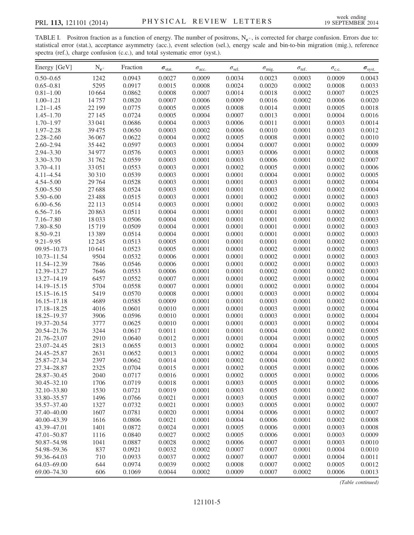<span id="page-4-0"></span>TABLE I. Positron fraction as a function of energy. The number of positrons,  $N_{e^+}$ , is corrected for charge confusion. Errors due to: statistical error (stat.), acceptance asymmetry (acc.), event selection (sel.), energy scale and bin-to-bin migration (mig.), reference spectra (ref.), charge confusion (c.c.), and total systematic error (syst.).

| Energy [GeV]    | $N_{e^+}$ | Fraction | $\sigma_{\text{stat.}}$ | $\sigma_\text{acc.}$ | $\sigma_{\text{sel.}}$ | $\sigma_{\rm mig.}$ | $\sigma_{\rm ref.}$ | $\sigma_{\rm c.c.}$ | $\sigma_{\rm syst.}$ |
|-----------------|-----------|----------|-------------------------|----------------------|------------------------|---------------------|---------------------|---------------------|----------------------|
| $0.50 - 0.65$   | 1242      | 0.0943   | 0.0027                  | 0.0009               | 0.0034                 | 0.0023              | 0.0003              | 0.0009              | 0.0043               |
| $0.65 - 0.81$   | 5295      | 0.0917   | 0.0015                  | 0.0008               | 0.0024                 | 0.0020              | 0.0002              | 0.0008              | 0.0033               |
| $0.81 - 1.00$   | 10664     | 0.0862   | 0.0008                  | 0.0007               | 0.0014                 | 0.0018              | 0.0002              | 0.0007              | 0.0025               |
| $1.00 - 1.21$   | 14757     | 0.0820   | 0.0007                  | 0.0006               | 0.0009                 | 0.0016              | 0.0002              | 0.0006              | 0.0020               |
| $1.21 - 1.45$   | 22 199    | 0.0775   | 0.0005                  | 0.0005               | 0.0008                 | 0.0014              | 0.0001              | 0.0005              | 0.0018               |
| $1.45 - 1.70$   | 27 145    | 0.0724   | 0.0005                  | 0.0004               | 0.0007                 | 0.0013              | 0.0001              | 0.0004              | 0.0016               |
| $1.70 - 1.97$   | 33 041    | 0.0686   | 0.0004                  | 0.0003               | 0.0006                 | 0.0011              | 0.0001              | 0.0003              | 0.0014               |
| $1.97 - 2.28$   | 39475     | 0.0650   | 0.0003                  | 0.0002               | 0.0006                 | 0.0010              | 0.0001              | 0.0003              | 0.0012               |
| $2.28 - 2.60$   | 36 067    | 0.0622   | 0.0004                  | 0.0002               | 0.0005                 | 0.0008              | 0.0001              | 0.0002              | 0.0010               |
| $2.60 - 2.94$   | 35 4 42   | 0.0597   | 0.0003                  | 0.0001               | 0.0004                 | 0.0007              | 0.0001              | 0.0002              | 0.0009               |
| $2.94 - 3.30$   | 34 977    | 0.0576   | 0.0003                  | 0.0001               | 0.0003                 | 0.0006              | 0.0001              | 0.0002              | 0.0008               |
| $3.30 - 3.70$   | 31762     | 0.0559   | 0.0003                  | 0.0001               | 0.0003                 | 0.0006              | 0.0001              | 0.0002              | 0.0007               |
|                 |           |          |                         | 0.0001               |                        |                     |                     |                     |                      |
| $3.70 - 4.11$   | 33 051    | 0.0553   | 0.0003                  |                      | 0.0002                 | 0.0005              | 0.0001              | 0.0002              | 0.0006               |
| $4.11 - 4.54$   | 30 310    | 0.0539   | 0.0003                  | 0.0001               | 0.0001                 | 0.0004              | 0.0001              | 0.0002              | 0.0005               |
| $4.54 - 5.00$   | 29 7 64   | 0.0528   | 0.0003                  | 0.0001               | 0.0001                 | 0.0003              | 0.0001              | 0.0002              | 0.0004               |
| $5.00 - 5.50$   | 27688     | 0.0524   | 0.0003                  | 0.0001               | 0.0001                 | 0.0003              | 0.0001              | 0.0002              | 0.0004               |
| $5.50 - 6.00$   | 23 4 8 8  | 0.0515   | 0.0003                  | 0.0001               | 0.0001                 | 0.0002              | 0.0001              | 0.0002              | 0.0003               |
| $6.00 - 6.56$   | 22 113    | 0.0514   | 0.0003                  | 0.0001               | 0.0001                 | 0.0002              | 0.0001              | 0.0002              | 0.0003               |
| $6.56 - 7.16$   | 20863     | 0.0511   | 0.0004                  | 0.0001               | 0.0001                 | 0.0001              | 0.0001              | 0.0002              | 0.0003               |
| $7.16 - 7.80$   | 18033     | 0.0506   | 0.0004                  | 0.0001               | 0.0001                 | 0.0001              | 0.0001              | 0.0002              | 0.0003               |
| $7.80 - 8.50$   | 15719     | 0.0509   | 0.0004                  | 0.0001               | 0.0001                 | 0.0001              | 0.0001              | 0.0002              | 0.0003               |
| $8.50 - 9.21$   | 13389     | 0.0514   | 0.0004                  | 0.0001               | 0.0001                 | 0.0001              | 0.0001              | 0.0002              | 0.0003               |
| $9.21 - 9.95$   | 12 2 45   | 0.0513   | 0.0005                  | 0.0001               | 0.0001                 | 0.0001              | 0.0001              | 0.0002              | 0.0003               |
| $09.95 - 10.73$ | 10641     | 0.0523   | 0.0005                  | 0.0001               | 0.0001                 | 0.0002              | 0.0001              | 0.0002              | 0.0003               |
| $10.73 - 11.54$ | 9504      | 0.0532   | 0.0006                  | 0.0001               | 0.0001                 | 0.0002              | 0.0001              | 0.0002              | 0.0003               |
| 11.54-12.39     | 7846      | 0.0546   | 0.0006                  | 0.0001               | 0.0001                 | 0.0002              | 0.0001              | 0.0002              | 0.0003               |
| 12.39-13.27     | 7646      | 0.0553   | 0.0006                  | 0.0001               | 0.0001                 | 0.0002              | 0.0001              | 0.0002              | 0.0003               |
| 13.27-14.19     | 6457      | 0.0552   | 0.0007                  | 0.0001               | 0.0001                 | 0.0002              | 0.0001              | 0.0002              | 0.0004               |
| 14.19-15.15     | 5704      | 0.0558   | 0.0007                  | 0.0001               | 0.0001                 | 0.0002              | 0.0001              | 0.0002              | 0.0004               |
| $15.15 - 16.15$ | 5419      | 0.0570   | 0.0008                  | 0.0001               | 0.0001                 | 0.0003              | 0.0001              | 0.0002              | 0.0004               |
| $16.15 - 17.18$ | 4689      | 0.0585   | 0.0009                  | 0.0001               | 0.0001                 | 0.0003              | 0.0001              | 0.0002              | 0.0004               |
| 17.18-18.25     | 4016      | 0.0601   | 0.0010                  | 0.0001               | 0.0001                 | 0.0003              | 0.0001              | 0.0002              | 0.0004               |
| 18.25-19.37     | 3906      | 0.0596   | 0.0010                  | 0.0001               | 0.0001                 | 0.0003              | 0.0001              | 0.0002              | 0.0004               |
| 19.37-20.54     | 3777      | 0.0625   | 0.0010                  | 0.0001               | 0.0001                 | 0.0003              | 0.0001              | 0.0002              | 0.0004               |
| 20.54-21.76     | 3244      | 0.0617   | 0.0011                  | 0.0001               | 0.0001                 | 0.0004              | 0.0001              | 0.0002              | 0.0005               |
| 21.76-23.07     | 2910      | 0.0640   | 0.0012                  | 0.0001               | 0.0001                 | 0.0004              | 0.0001              | 0.0002              | 0.0005               |
| 23.07-24.45     | 2813      | 0.0655   | 0.0013                  | 0.0001               | 0.0002                 | 0.0004              | 0.0001              | 0.0002              | 0.0005               |
| 24.45-25.87     | 2631      | 0.0652   | 0.0013                  | 0.0001               | 0.0002                 | 0.0004              | 0.0001              | 0.0002              | 0.0005               |
| 25.87-27.34     | 2397      | 0.0662   | 0.0014                  | 0.0001               | 0.0002                 | 0.0004              | 0.0001              | 0.0002              | 0.0005               |
| 27.34-28.87     | 2325      | 0.0704   | 0.0015                  | 0.0001               | 0.0002                 | 0.0005              | 0.0001              | 0.0002              | 0.0006               |
| 28.87-30.45     | 2040      | 0.0717   | 0.0016                  | 0.0001               | 0.0002                 | 0.0005              | 0.0001              | 0.0002              | 0.0006               |
| 30.45-32.10     | 1706      | 0.0719   | 0.0018                  | 0.0001               | 0.0003                 | 0.0005              | 0.0001              | 0.0002              | 0.0006               |
| 32.10-33.80     | 1530      | 0.0721   | 0.0019                  | 0.0001               | 0.0003                 | 0.0005              | 0.0001              | 0.0002              | 0.0006               |
| 33.80-35.57     | 1496      | 0.0766   | 0.0021                  | 0.0001               | 0.0003                 | 0.0005              | 0.0001              | 0.0002              | 0.0007               |
| 35.57-37.40     | 1327      | 0.0732   | 0.0021                  | 0.0001               | 0.0003                 | 0.0005              | 0.0001              | 0.0002              | 0.0007               |
| 37.40-40.00     | 1607      | 0.0781   | 0.0020                  | 0.0001               | 0.0004                 | 0.0006              | 0.0001              | 0.0002              | 0.0007               |
|                 |           |          |                         |                      |                        |                     | 0.0001              |                     |                      |
| 40.00 - 43.39   | 1616      | 0.0806   | 0.0021                  | 0.0001               | 0.0004                 | 0.0006              |                     | 0.0002              | 0.0008               |
| 43.39-47.01     | 1401      | 0.0872   | 0.0024                  | 0.0001               | 0.0005                 | 0.0006              | 0.0001              | 0.0003              | 0.0008               |
| 47.01-50.87     | 1116      | 0.0840   | 0.0027                  | 0.0002               | 0.0005                 | 0.0006              | 0.0001              | 0.0003              | 0.0009               |
| 50.87-54.98     | 1041      | 0.0887   | 0.0028                  | 0.0002               | 0.0006                 | 0.0007              | 0.0001              | 0.0003              | 0.0010               |
| 54.98-59.36     | 837       | 0.0921   | 0.0032                  | 0.0002               | 0.0007                 | 0.0007              | 0.0001              | 0.0004              | 0.0010               |
| 59.36–64.03     | 710       | 0.0933   | 0.0037                  | 0.0002               | 0.0007                 | 0.0007              | 0.0001              | 0.0004              | 0.0011               |
| 64.03-69.00     | 644       | 0.0974   | 0.0039                  | 0.0002               | 0.0008                 | 0.0007              | 0.0002              | 0.0005              | 0.0012               |
| 69.00-74.30     | 606       | 0.1069   | 0.0044                  | 0.0002               | 0.0009                 | 0.0007              | 0.0002              | 0.0006              | 0.0013               |

(Table continued)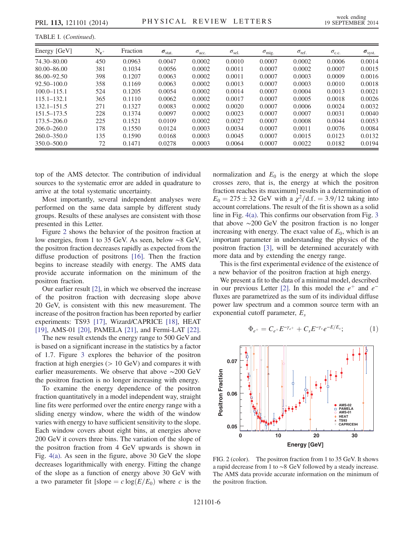TABLE I. (Continued).

| Energy [GeV]    | $N_{e^+}$ | Fraction | $\sigma_{\text{stat.}}$ | $\sigma_{\text{acc}}$ | $\sigma_{\text{sel.}}$ | $\sigma_{\rm mig.}$ | $\sigma_{\rm ref.}$ | $\sigma_{c.c.}$ | $\sigma_{\rm syst.}$ |
|-----------------|-----------|----------|-------------------------|-----------------------|------------------------|---------------------|---------------------|-----------------|----------------------|
| 74.30-80.00     | 450       | 0.0963   | 0.0047                  | 0.0002                | 0.0010                 | 0.0007              | 0.0002              | 0.0006          | 0.0014               |
| $80.00 - 86.00$ | 381       | 0.1034   | 0.0056                  | 0.0002                | 0.0011                 | 0.0007              | 0.0002              | 0.0007          | 0.0015               |
| $86.00 - 92.50$ | 398       | 0.1207   | 0.0063                  | 0.0002                | 0.0011                 | 0.0007              | 0.0003              | 0.0009          | 0.0016               |
| $92.50 - 100.0$ | 358       | 0.1169   | 0.0063                  | 0.0002                | 0.0013                 | 0.0007              | 0.0003              | 0.0010          | 0.0018               |
| $100.0 - 115.1$ | 524       | 0.1205   | 0.0054                  | 0.0002                | 0.0014                 | 0.0007              | 0.0004              | 0.0013          | 0.0021               |
| $115.1 - 132.1$ | 365       | 0.1110   | 0.0062                  | 0.0002                | 0.0017                 | 0.0007              | 0.0005              | 0.0018          | 0.0026               |
| $132.1 - 151.5$ | 271       | 0.1327   | 0.0083                  | 0.0002                | 0.0020                 | 0.0007              | 0.0006              | 0.0024          | 0.0032               |
| $151.5 - 173.5$ | 228       | 0.1374   | 0.0097                  | 0.0002                | 0.0023                 | 0.0007              | 0.0007              | 0.0031          | 0.0040               |
| $173.5 - 206.0$ | 225       | 0.1521   | 0.0109                  | 0.0002                | 0.0027                 | 0.0007              | 0.0008              | 0.0044          | 0.0053               |
| $206.0 - 260.0$ | 178       | 0.1550   | 0.0124                  | 0.0003                | 0.0034                 | 0.0007              | 0.0011              | 0.0076          | 0.0084               |
| $260.0 - 350.0$ | 135       | 0.1590   | 0.0168                  | 0.0003                | 0.0045                 | 0.0007              | 0.0015              | 0.0123          | 0.0132               |
| $350.0 - 500.0$ | 72        | 0.1471   | 0.0278                  | 0.0003                | 0.0064                 | 0.0007              | 0.0022              | 0.0182          | 0.0194               |

top of the AMS detector. The contribution of individual sources to the systematic error are added in quadrature to arrive at the total systematic uncertainty.

Most importantly, several independent analyses were performed on the same data sample by different study groups. Results of these analyses are consistent with those presented in this Letter.

Figure [2](#page-5-0) shows the behavior of the positron fraction at low energies, from 1 to 35 GeV. As seen, below ∼8 GeV, the positron fraction decreases rapidly as expected from the diffuse production of positrons [\[16\].](#page-8-11) Then the fraction begins to increase steadily with energy. The AMS data provide accurate information on the minimum of the positron fraction.

Our earlier result [\[2\]](#page-7-32), in which we observed the increase of the positron fraction with decreasing slope above 20 GeV, is consistent with this new measurement. The increase of the positron fraction has been reported by earlier experiments: TS93 [\[17\],](#page-8-12) Wizard/CAPRICE [\[18\],](#page-8-13) HEAT [\[19\]](#page-8-14), AMS-01 [\[20\],](#page-8-15) PAMELA [\[21\],](#page-8-16) and Fermi-LAT [\[22\]](#page-8-17).

The new result extends the energy range to 500 GeV and is based on a significant increase in the statistics by a factor of 1.7. Figure [3](#page-6-0) explores the behavior of the positron fraction at high energies  $(> 10 \text{ GeV})$  and compares it with earlier measurements. We observe that above ∼200 GeV the positron fraction is no longer increasing with energy.

To examine the energy dependence of the positron fraction quantitatively in a model independent way, straight line fits were performed over the entire energy range with a sliding energy window, where the width of the window varies with energy to have sufficient sensitivity to the slope. Each window covers about eight bins, at energies above 200 GeV it covers three bins. The variation of the slope of the positron fraction from 4 GeV upwards is shown in Fig. [4\(a\).](#page-6-1) As seen in the figure, above 30 GeV the slope decreases logarithmically with energy. Fitting the change of the slope as a function of energy above 30 GeV with a two parameter fit [slope =  $c \log(E/E_0)$  where c is the normalization and  $E_0$  is the energy at which the slope crosses zero, that is, the energy at which the positron fraction reaches its maximum] results in a determination of  $E_0 = 275 \pm 32$  GeV with a  $\chi^2/\text{d.f.} = 3.9/12$  taking into account correlations. The result of the fit is shown as a solid line in Fig. [4\(a\).](#page-6-1) This confirms our observation from Fig. [3](#page-6-0) that above ∼200 GeV the positron fraction is no longer increasing with energy. The exact value of  $E_0$ , which is an important parameter in understanding the physics of the positron fraction [\[3\]](#page-7-33), will be determined accurately with more data and by extending the energy range.

This is the first experimental evidence of the existence of a new behavior of the positron fraction at high energy.

We present a fit to the data of a minimal model, described in our previous Letter [\[2\].](#page-7-32) In this model the  $e^+$  and  $e^$ fluxes are parametrized as the sum of its individual diffuse power law spectrum and a common source term with an exponential cutoff parameter,  $E_s$ 

$$
\Phi_{e^+} = C_{e^+} E^{-\gamma_{e^+}} + C_s E^{-\gamma_s} e^{-E/E_s};\tag{1}
$$

<span id="page-5-0"></span>

FIG. 2 (color). The positron fraction from 1 to 35 GeV. It shows a rapid decrease from 1 to ∼8 GeV followed by a steady increase. The AMS data provide accurate information on the minimum of the positron fraction.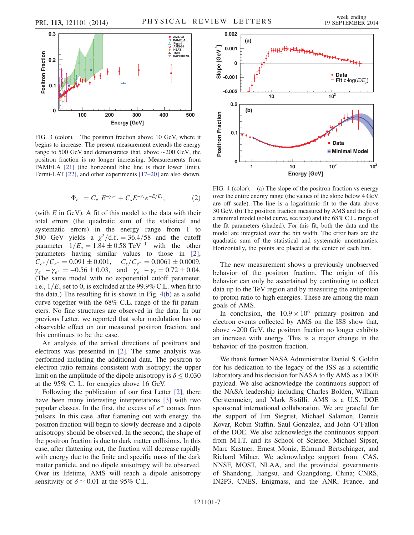<span id="page-6-0"></span>

FIG. 3 (color). The positron fraction above 10 GeV, where it begins to increase. The present measurement extends the energy range to 500 GeV and demonstrates that, above ∼200 GeV, the positron fraction is no longer increasing. Measurements from PAMELA [\[21\]](#page-8-16) (the horizontal blue line is their lower limit), Fermi-LAT [\[22\]](#page-8-17), and other experiments [\[17](#page-8-12)–20] are also shown. **Energy [GeV]** 

$$
\Phi_{e^-} = C_{e^-} E^{-\gamma_{e^-}} + C_s E^{-\gamma_s} e^{-E/E_s}, \tag{2}
$$

(with  $E$  in GeV). A fit of this model to the data with their total errors (the quadratic sum of the statistical and systematic errors) in the energy range from 1 to 500 GeV yields a  $\chi^2/\text{d.f.} = 36.4/58$  and the cutoff parameter  $1/E_s = 1.84 \pm 0.58$  TeV<sup>-1</sup> with the other parameters having similar values to those in [\[2\]](#page-7-32),  $C_{e^+}/C_{e^-} = 0.091 \pm 0.001, \quad C_s/C_{e^-} = 0.0061 \pm 0.0009,$  $\gamma_{e^{-}} - \gamma_{e^{+}} = -0.56 \pm 0.03$ , and  $\gamma_{e^{-}} - \gamma_{s} = 0.72 \pm 0.04$ . (The same model with no exponential cutoff parameter, i.e.,  $1/E_s$  set to 0, is excluded at the 99.9% C.L. when fit to the data.) The resulting fit is shown in Fig. [4\(b\)](#page-6-1) as a solid curve together with the 68% C.L. range of the fit parameters. No fine structures are observed in the data. In our previous Letter, we reported that solar modulation has no observable effect on our measured positron fraction, and this continues to be the case.

An analysis of the arrival directions of positrons and electrons was presented in [\[2\]](#page-7-32). The same analysis was performed including the additional data. The positron to electron ratio remains consistent with isotropy; the upper limit on the amplitude of the dipole anisotropy is  $\delta \leq 0.030$ at the 95% C. L. for energies above 16 GeV.

Following the publication of our first Letter [\[2\],](#page-7-32) there have been many interesting interpretations [\[3\]](#page-7-33) with two popular classes. In the first, the excess of  $e^+$  comes from pulsars. In this case, after flattening out with energy, the positron fraction will begin to slowly decrease and a dipole anisotropy should be observed. In the second, the shape of the positron fraction is due to dark matter collisions. In this case, after flattening out, the fraction will decrease rapidly with energy due to the finite and specific mass of the dark matter particle, and no dipole anisotropy will be observed. Over its lifetime, AMS will reach a dipole anisotropy sensitivity of  $\delta \approx 0.01$  at the 95% C.L.

<span id="page-6-1"></span>

FIG. 4 (color). (a) The slope of the positron fraction vs energy over the entire energy range (the values of the slope below 4 GeV are off scale). The line is a logarithmic fit to the data above 30 GeV. (b) The positron fraction measured by AMS and the fit of a minimal model (solid curve, see text) and the 68% C.L. range of the fit parameters (shaded). For this fit, both the data and the model are integrated over the bin width. The error bars are the quadratic sum of the statistical and systematic uncertainties. Horizontally, the points are placed at the center of each bin.

The new measurement shows a previously unobserved behavior of the positron fraction. The origin of this behavior can only be ascertained by continuing to collect data up to the TeV region and by measuring the antiproton to proton ratio to high energies. These are among the main goals of AMS.

In conclusion, the  $10.9 \times 10^6$  primary positron and electron events collected by AMS on the ISS show that, above ∼200 GeV, the positron fraction no longer exhibits an increase with energy. This is a major change in the behavior of the positron fraction.

We thank former NASA Administrator Daniel S. Goldin for his dedication to the legacy of the ISS as a scientific laboratory and his decision for NASA to fly AMS as a DOE payload. We also acknowledge the continuous support of the NASA leadership including Charles Bolden, William Gerstenmeier, and Mark Sistilli. AMS is a U.S. DOE sponsored international collaboration. We are grateful for the support of Jim Siegrist, Michael Salamon, Dennis Kovar, Robin Staffin, Saul Gonzalez, and John O'Fallon of the DOE. We also acknowledge the continuous support from M.I.T. and its School of Science, Michael Sipser, Marc Kastner, Ernest Moniz, Edmund Bertschinger, and Richard Milner. We acknowledge support from: CAS, NNSF, MOST, NLAA, and the provincial governments of Shandong, Jiangsu, and Guangdong, China; CNRS, IN2P3, CNES, Enigmass, and the ANR, France, and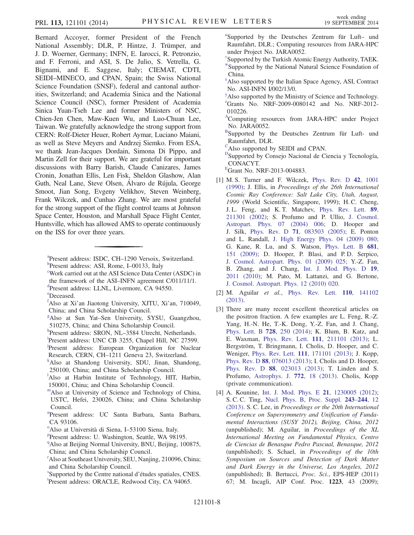Bernard Accoyer, former President of the French National Assembly; DLR, P. Hintze, J. Trümper, and J. D. Woerner, Germany; INFN, E. Iarocci, R. Petronzio, and F. Ferroni, and ASI, S. De Julio, S. Vetrella, G. Bignami, and E. Saggese, Italy; CIEMAT, CDTI, SEIDI–MINECO, and CPAN, Spain; the Swiss National Science Foundation (SNSF), federal and cantonal authorities, Switzerland; and Academia Sinica and the National Science Council (NSC), former President of Academia Sinica Yuan-Tseh Lee and former Ministers of NSC, Chien-Jen Chen, Maw-Kuen Wu, and Luo-Chuan Lee, Taiwan. We gratefully acknowledge the strong support from CERN: Rolf-Dieter Heuer, Robert Aymar, Luciano Maiani, as well as Steve Meyers and Andrzej Siemko. From ESA, we thank Jean-Jacques Dordain, Simona Di Pippo, and Martin Zell for their support. We are grateful for important discussions with Barry Barish, Claude Canizares, James Cronin, Jonathan Ellis, Len Fisk, Sheldon Glashow, Alan Guth, Neal Lane, Steve Olsen, Álvaro de Rújula, George Smoot, Jian Song, Evgeny Velikhov, Steven Weinberg, Frank Wilczek, and Cunhao Zhang. We are most grateful for the strong support of the flight control teams at Johnson Space Center, Houston, and Marshall Space Flight Center, Huntsville, which has allowed AMS to operate continuously on the ISS for over three years.

<span id="page-7-2"></span>Work carried out at the ASI Science Data Center (ASDC) in the framework of the ASI–INFN agreement  $C/011/11/1$ . Present address: LLNL, Livermore, CA 94550.

- <span id="page-7-5"></span>[f](#page-0-5) Also at Xi'an Jiaotong University, XJTU, Xi'an, 710049, China; and China Scholarship Council.
- <span id="page-7-6"></span><sup>[g](#page-0-6)</sup>Also at Sun Yat-Sen University, SYSU, Guangzhou, 510275, China; and China Scholarship Council.
- <span id="page-7-7"></span>[h](#page-0-7) Present address: SRON, NL–3584 Utrecht, Netherlands.<br>[i](#page-0-7)Present address: UNC CP 3255, Chapel Hill, NC 27500
- <span id="page-7-9"></span><span id="page-7-8"></span>Present address: UNC CB 3255, Chapel Hill, NC 27599. [j](#page-0-8) Present address: European Organization for Nuclear
- Research, CERN, CH–1211 Geneva 23, Switzerland. [k](#page-0-9)
- <span id="page-7-10"></span><sup>k</sup>Also at Shandong University, SDU, Jinan, Shandong, 250100, China; and China Scholarship Council.
- <span id="page-7-11"></span><sup>1</sup>A[l](#page-0-9)so at Harbin Institute of Technology, HIT, Harbin, 150001, China; and China Scholarship Council.
- <span id="page-7-12"></span>[mA](#page-0-10)lso at University of Science and Technology of China,
- USTC, Hefei, 230026, China; and China Scholarship Council.
- <span id="page-7-13"></span>[n](#page-0-11) Present address: UC Santa Barbara, Santa Barbara, CA 93106.
- <span id="page-7-14"></span><sup>[o](#page-0-11)</su[p](#page-0-12)> Also at Università di Siena, I–53100 Siena, Italy.<br>PResent eddress: U. Weshington, Seattle, WA 081
- <span id="page-7-15"></span>Present address: U. Washington, Seattle, WA 98195.
- <span id="page-7-16"></span><sup>[q](#page-0-13)</sup>Also at Beijing Normal University, BNU, Beijing, 100875, China; and China Scholarship Council.
- <span id="page-7-17"></span><sup>[r](#page-0-14)</sup>Also at Southeast University, SEU, Nanjing, 210096, China; and China Scholarship Council.
- <span id="page-7-19"></span><span id="page-7-18"></span>Supported by the Centre national d'étude[s](#page-0-15) spa[t](#page-0-16)iales, CNES. Present address: ORACLE, Redwood City, CA 94065.

<span id="page-7-20"></span>[u](#page-0-17) Supported by the Deutsches Zentrum für Luft– und Raumfahrt, DLR.; Computing resources from JARA-HPC under Project No. JARA0052.

- <span id="page-7-22"></span><span id="page-7-21"></span>[v](#page-0-18) Supported by the Turkish Atomic Energy Authority, TAEK. [wS](#page-0-19)upported by the National Natural Science Foundation of China.
- <span id="page-7-23"></span>[x](#page-0-20) Also supported by the Italian Space Agency, ASI, Contract No. ASI-INFN I/002/13/0.
- <span id="page-7-25"></span><span id="page-7-24"></span><sup>[y](#page-0-21)</sup>Also supported by the Ministry of Science and Technology. <sup>2</sup>Grants No. NRF-2009-0080142 and No. NRF-2012-010226.
- <span id="page-7-26"></span><sup>[A](#page-1-1)</sup>Computing resources from JARA-HPC under Project No. JARA0052.
- <span id="page-7-27"></span><sup>[B](#page-1-2)</sup>Supported by the Deutsches Zentrum für Luft- und Raumfahrt, DLR.
- <span id="page-7-28"></span><sup>[C](#page-1-3)</sup>Also supported by SEIDI and CPAN.
- <span id="page-7-29"></span><sup>D</sup>Supported by Consejo Nacional de Ciencia y Tecnología, CONACYT.
- <span id="page-7-30"></span>[E](#page-1-5) Grant No. NRF-2013-004883.
- <span id="page-7-31"></span>[1] M. S. Turner and F. Wilczek, [Phys. Rev. D](http://dx.doi.org/10.1103/PhysRevD.42.1001) 42, 1001 [\(1990\);](http://dx.doi.org/10.1103/PhysRevD.42.1001) J. Ellis, in Proceedings of the 26th International Cosmic Ray Conference: Salt Lake City, Utah, August, 1999 (World Scientific, Singapore, 1999); H. C. Cheng, J. L. Feng, and K. T. Matchev, [Phys. Rev. Lett.](http://dx.doi.org/10.1103/PhysRevLett.89.211301) 89, [211301 \(2002\)](http://dx.doi.org/10.1103/PhysRevLett.89.211301); S. Profumo and P. Ullio, [J. Cosmol.](http://dx.doi.org/10.1088/1475-7516/2004/07/006) [Astropart. Phys. 07 \(2004\) 006;](http://dx.doi.org/10.1088/1475-7516/2004/07/006) D. Hooper and J. Silk, Phys. Rev. D 71[, 083503 \(2005\)](http://dx.doi.org/10.1103/PhysRevD.71.083503); E. Ponton and L. Randall, [J. High Energy Phys. 04 \(2009\) 080;](http://dx.doi.org/10.1088/1126-6708/2009/04/080) G. Kane, R. Lu, and S. Watson, [Phys. Lett. B](http://dx.doi.org/10.1016/j.physletb.2009.09.053) 681, [151 \(2009\);](http://dx.doi.org/10.1016/j.physletb.2009.09.053) D. Hooper, P. Blasi, and P. D. Serpico, [J. Cosmol. Astropart. Phys. 01 \(2009\) 025;](http://dx.doi.org/10.1088/1475-7516/2009/01/025) Y.-Z. Fan, B. Zhang, and J. Chang, [Int. J. Mod. Phys. D](http://dx.doi.org/10.1142/S0218271810018268) 19, [2011 \(2010\)](http://dx.doi.org/10.1142/S0218271810018268); M. Pato, M. Lattanzi, and G. Bertone, [J. Cosmol. Astropart. Phys. 12 \(2010\) 020.](http://dx.doi.org/10.1088/1475-7516/2010/12/020)
- <span id="page-7-32"></span>[2] M. Aguilar et al., [Phys. Rev. Lett.](http://dx.doi.org/10.1103/PhysRevLett.110.141102) **110**, 141102 [\(2013\).](http://dx.doi.org/10.1103/PhysRevLett.110.141102)
- <span id="page-7-33"></span>[3] There are many recent excellent theoretical articles on the positron fraction. A few examples are L. Feng, R.-Z. Yang, H.-N. He, T.-K. Dong, Y.-Z. Fan, and J. Chang, [Phys. Lett. B](http://dx.doi.org/10.1016/j.physletb.2013.12.012) 728, 250 (2014); K. Blum, B. Katz, and E. Waxman, Phys. Rev. Lett. 111, 211101 (2013); L. E. Waxman, Phys. Rev. Lett. 111[, 211101 \(2013\);](http://dx.doi.org/10.1103/PhysRevLett.111.211101) L. Bergström, T. Bringmann, I. Cholis, D. Hooper, and C. Weniger, Phys. Rev. Lett. 111[, 171101 \(2013\)](http://dx.doi.org/10.1103/PhysRevLett.111.171101); J. Kopp, Phys. Rev. D 88[, 076013 \(2013\);](http://dx.doi.org/10.1103/PhysRevD.88.076013) I. Cholis and D. Hooper, Phys. Rev. D 88[, 023013 \(2013\);](http://dx.doi.org/10.1103/PhysRevD.88.023013) T. Linden and S. Profumo, [Astrophys. J.](http://dx.doi.org/10.1088/0004-637X/772/1/18) 772, 18 (2013). Cholis, Kopp (private communication).
- <span id="page-7-34"></span>[4] A. Kounine, [Int. J. Mod. Phys. E](http://dx.doi.org/10.1142/S0218301312300056) 21, 1230005 (2012); S. C. C. Ting, [Nucl. Phys. B, Proc. Suppl.](http://dx.doi.org/10.1016/j.nuclphysbps.2013.09.028) 243–244, 12 [\(2013\).](http://dx.doi.org/10.1016/j.nuclphysbps.2013.09.028) S. C. Lee, in Proceedings or the 20th International Conference on Supersymmetry and Unification of Fundamental Interactions (SUSY 2012), Beijing, China, 2012 (unpublished); M. Aguilar, in Proceedings of the XL International Meeting on Fundamental Physics, Centro de Ciencias de Benasque Pedro Pascual, Benasque, 2012 (unpublished); S. Schael, in Proceedings of the 10th Symposium on Sources and Detection of Dark Matter and Dark Energy in the Universe, Los Angeles, 2012 (unpublished); B. Bertucci, Proc. Sci., EPS-HEP (2011) 67; M. Incagli, AIP Conf. Proc. <sup>1223</sup>, 43 (2009);

<span id="page-7-1"></span><span id="page-7-0"></span><sup>&</sup>lt;sup>[a](#page-0-0)</sup> Present address: ISDC, CH-1290 Versoix, Switzerland. <sup>b</sup>Present address: ASI, Rome, I–00133, Italy

<span id="page-7-4"></span><span id="page-7-3"></span>[e](#page-0-4) Deceased.